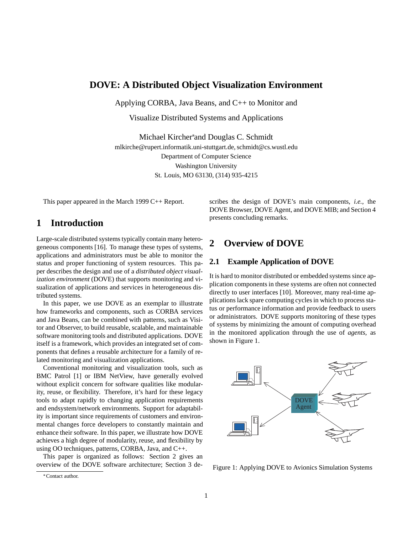# **DOVE: A Distributed Object Visualization Environment**

Applying CORBA, Java Beans, and C++ to Monitor and

Visualize Distributed Systems and Applications

Michael Kircher\*and Douglas C. Schmidt mlkirche@rupert.informatik.uni-stuttgart.de, schmidt@cs.wustl.edu Department of Computer Science Washington University St. Louis, MO 63130, (314) 935-4215

This paper appeared in the March 1999 C++ Report.

# **1 Introduction**

Large-scale distributed systems typically contain many heterogeneous components [16]. To manage these types of systems, applications and administrators must be able to monitor the status and proper functioning of system resources. This paper describes the design and use of a *distributed object visualization environment* (DOVE) that supports monitoring and visualization of applications and services in heterogeneous distributed systems.

In this paper, we use DOVE as an exemplar to illustrate how frameworks and components, such as CORBA services and Java Beans, can be combined with patterns, such as Visitor and Observer, to build reusable, scalable, and maintainable software monitoring tools and distributed applications. DOVE itself is a framework, which provides an integrated set of components that defines a reusable architecture for a family of related monitoring and visualization applications.

Conventional monitoring and visualization tools, such as BMC Patrol [1] or IBM NetView, have generally evolved without explicit concern for software qualities like modularity, reuse, or flexibility. Therefore, it's hard for these legacy tools to adapt rapidly to changing application requirements and endsystem/network environments. Support for adaptability is important since requirements of customers and environmental changes force developers to constantly maintain and enhance their software. In this paper, we illustrate how DOVE achieves a high degree of modularity, reuse, and flexibility by using OO techniques, patterns, CORBA, Java, and C++.

This paper is organized as follows: Section 2 gives an overview of the DOVE software architecture; Section 3 de-

# **2 Overview of DOVE**

## **2.1 Example Application of DOVE**

It is hard to monitor distributed or embedded systems since application components in these systems are often not connected directly to user interfaces [10]. Moreover, many real-time applications lack spare computing cycles in which to process status or performance information and provide feedback to users or administrators. DOVE supports monitoring of these types of systems by minimizing the amount of computing overhead in the monitored application through the use of *agents*, as shown in Figure 1.



Figure 1: Applying DOVE to Avionics Simulation Systems

scribes the design of DOVE's main components, *i.e.*, the DOVE Browser, DOVE Agent, and DOVE MIB; and Section 4 presents concluding remarks.

Contact author.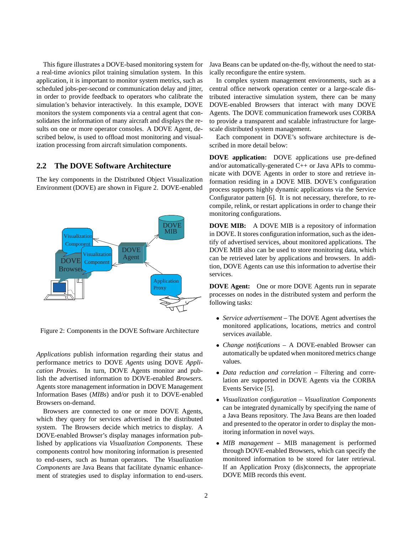This figure illustrates a DOVE-based monitoring system for a real-time avionics pilot training simulation system. In this application, it is important to monitor system metrics, such as scheduled jobs-per-second or communication delay and jitter, in order to provide feedback to operators who calibrate the simulation's behavior interactively. In this example, DOVE monitors the system components via a central agent that consolidates the information of many aircraft and displays the results on one or more operator consoles. A DOVE Agent, described below, is used to offload most monitoring and visualization processing from aircraft simulation components.

## **2.2 The DOVE Software Architecture**

The key components in the Distributed Object Visualization Environment (DOVE) are shown in Figure 2. DOVE-enabled



Figure 2: Components in the DOVE Software Architecture

*Applications* publish information regarding their status and performance metrics to DOVE *Agents* using DOVE *Application Proxies*. In turn, DOVE Agents monitor and publish the advertised information to DOVE-enabled *Browsers*. Agents store management information in DOVE Management Information Bases (*MIBs*) and/or push it to DOVE-enabled Browsers on-demand.

Browsers are connected to one or more DOVE Agents, which they query for services advertised in the distributed system. The Browsers decide which metrics to display. A DOVE-enabled Browser's display manages information published by applications via *Visualization Components*. These components control how monitoring information is presented to end-users, such as human operators. The *Visualization Components* are Java Beans that facilitate dynamic enhancement of strategies used to display information to end-users.

Java Beans can be updated on-the-fly, without the need to statically reconfigure the entire system.

In complex system management environments, such as a central office network operation center or a large-scale distributed interactive simulation system, there can be many DOVE-enabled Browsers that interact with many DOVE Agents. The DOVE communication framework uses CORBA to provide a transparent and scalable infrastructure for largescale distributed system management.

Each component in DOVE's software architecture is described in more detail below:

**DOVE application:** DOVE applications use pre-defined and/or automatically-generated  $C++$  or Java APIs to communicate with DOVE Agents in order to store and retrieve information residing in a DOVE MIB. DOVE's configuration process supports highly dynamic applications via the Service Configurator pattern [6]. It is not necessary, therefore, to recompile, relink, or restart applications in order to change their monitoring configurations.

**DOVE MIB:** A DOVE MIB is a repository of information in DOVE. It stores configuration information, such as the identify of advertised services, about monitored applications. The DOVE MIB also can be used to store monitoring data, which can be retrieved later by applications and browsers. In addition, DOVE Agents can use this information to advertise their services.

**DOVE Agent:** One or more DOVE Agents run in separate processes on nodes in the distributed system and perform the following tasks:

- *Service advertisement* The DOVE Agent advertises the monitored applications, locations, metrics and control services available.
- *Change notifications* A DOVE-enabled Browser can automatically be updated when monitored metrics change values.
- *Data reduction and correlation* Filtering and correlation are supported in DOVE Agents via the CORBA Events Service [5].
- *Visualization configuration Visualization Components* can be integrated dynamically by specifying the name of a Java Beans repository. The Java Beans are then loaded and presented to the operator in order to display the monitoring information in novel ways.
- *MIB management* MIB management is performed through DOVE-enabled Browsers, which can specify the monitored information to be stored for later retrieval. If an Application Proxy (dis)connects, the appropriate DOVE MIB records this event.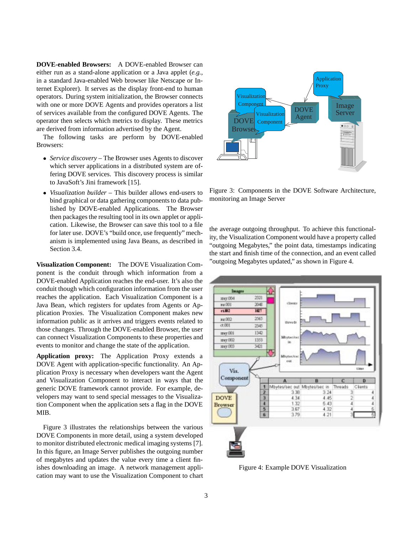**DOVE-enabled Browsers:** A DOVE-enabled Browser can either run as a stand-alone application or a Java applet (*e.g.*, in a standard Java-enabled Web browser like Netscape or Internet Explorer). It serves as the display front-end to human operators. During system initialization, the Browser connects with one or more DOVE Agents and provides operators a list of services available from the configured DOVE Agents. The operator then selects which metrics to display. These metrics are derived from information advertised by the Agent.

The following tasks are perform by DOVE-enabled Browsers:

- *Service discovery* The Browser uses Agents to discover which server applications in a distributed system are offering DOVE services. This discovery process is similar to JavaSoft's Jini framework [15].
- *Visualization builder* This builder allows end-users to bind graphical or data gathering components to data published by DOVE-enabled Applications. The Browser then packages the resulting tool in its own applet or application. Likewise, the Browser can save this tool to a file for later use. DOVE's "build once, use frequently" mechanism is implemented using Java Beans, as described in Section 3.4.

**Visualization Component:** The DOVE Visualization Component is the conduit through which information from a DOVE-enabled Application reaches the end-user. It's also the conduit though which configuration information from the user reaches the application. Each Visualization Component is a Java Bean, which registers for updates from Agents or Application Proxies. The Visualization Component makes new information public as it arrives and triggers events related to those changes. Through the DOVE-enabled Browser, the user can connect Visualization Components to these properties and events to monitor and change the state of the application.

**Application proxy:** The Application Proxy extends a DOVE Agent with application-specific functionality. An Application Proxy is necessary when developers want the Agent and Visualization Component to interact in ways that the generic DOVE framework cannot provide. For example, developers may want to send special messages to the Visualization Component when the application sets a flag in the DOVE MIB.

Figure 3 illustrates the relationships between the various DOVE Components in more detail, using a system developed to monitor distributed electronic medical imaging systems [7]. In this figure, an Image Server publishes the outgoing number of megabytes and updates the value every time a client finishes downloading an image. A network management application may want to use the Visualization Component to chart



Figure 3: Components in the DOVE Software Architecture, monitoring an Image Server

the average outgoing throughput. To achieve this functionality, the Visualization Component would have a property called "outgoing Megabytes," the point data, timestamps indicating the start and finish time of the connection, and an event called "outgoing Megabytes updated," as shown in Figure 4.



Figure 4: Example DOVE Visualization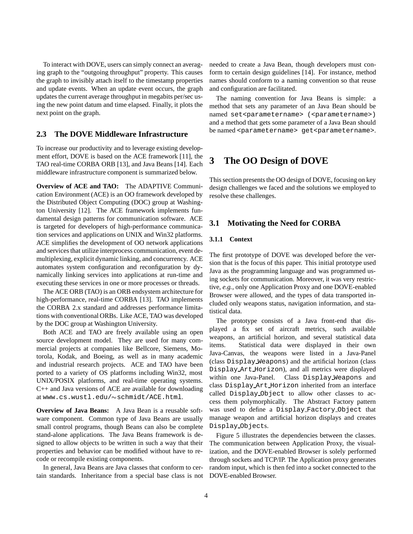To interact with DOVE, users can simply connect an averaging graph to the "outgoing throughput" property. This causes the graph to invisibly attach itself to the timestamp properties and update events. When an update event occurs, the graph updates the current average throughput in megabits per/sec using the new point datum and time elapsed. Finally, it plots the next point on the graph.

## **2.3 The DOVE Middleware Infrastructure**

To increase our productivity and to leverage existing development effort, DOVE is based on the ACE framework [11], the TAO real-time CORBA ORB [13], and Java Beans [14]. Each middleware infrastructure component is summarized below.

**Overview of ACE and TAO:** The ADAPTIVE Communication Environment (ACE) is an OO framework developed by the Distributed Object Computing (DOC) group at Washington University [12]. The ACE framework implements fundamental design patterns for communication software. ACE is targeted for developers of high-performance communication services and applications on UNIX and Win32 platforms. ACE simplifies the development of OO network applications and services that utilize interprocess communication, event demultiplexing, explicit dynamic linking, and concurrency. ACE automates system configuration and reconfiguration by dynamically linking services into applications at run-time and executing these services in one or more processes or threads.

The ACE ORB (TAO) is an ORB endsystem architecture for high-performance, real-time CORBA [13]. TAO implements the CORBA 2.x standard and addresses performance limitations with conventional ORBs. Like ACE, TAO was developed by the DOC group at Washington University.

Both ACE and TAO are freely available using an open source development model. They are used for many commercial projects at companies like Bellcore, Siemens, Motorola, Kodak, and Boeing, as well as in many academic and industrial research projects. ACE and TAO have been ported to a variety of OS platforms including Win32, most UNIX/POSIX platforms, and real-time operating systems. C++ and Java versions of ACE are available for downloading at www.cs.wustl.edu/~schmidt/ACE.html.

**Overview of Java Beans:** A Java Bean is a reusable software component. Common type of Java Beans are usually small control programs, though Beans can also be complete stand-alone applications. The Java Beans framework is designed to allow objects to be written in such a way that their properties and behavior can be modified without have to recode or recompile existing components.

In general, Java Beans are Java classes that conform to certain standards. Inheritance from a special base class is not needed to create a Java Bean, though developers must conform to certain design guidelines [14]. For instance, method names should conform to a naming convention so that reuse and configuration are facilitated.

The naming convention for Java Beans is simple: a method that sets any parameter of an Java Bean should be named set<parametername> (<parametername>) and a method that gets some parameter of a Java Bean should be named <parametername> get<parametername>.

# **3 The OO Design of DOVE**

This section presents the OO design of DOVE, focusing on key design challenges we faced and the solutions we employed to resolve these challenges.

## **3.1 Motivating the Need for CORBA**

### **3.1.1 Context**

The first prototype of DOVE was developed before the version that is the focus of this paper. This initial prototype used Java as the programming language and was programmed using sockets for communication. Moreover, it was very restrictive, *e.g.*, only one Application Proxy and one DOVE-enabled Browser were allowed, and the types of data transported included only weapons status, navigation information, and statistical data.

The prototype consists of a Java front-end that displayed a fix set of aircraft metrics, such available weapons, an artificial horizon, and several statistical data items. Statistical data were displayed in their own Java-Canvas, the weapons were listed in a Java-Panel (class Display Weapons) and the artificial horizon (class Display Art Horizon), and all metrics were displayed within one Java-Panel. Class Display Weapons and class Display Art Horizon inherited from an interface called Display Object to allow other classes to access them polymorphically. The Abstract Factory pattern was used to define a Display Factory Object that manage weapon and artificial horizon displays and creates Display Objects.

Figure 5 illustrates the dependencies between the classes. The communication between Application Proxy, the visualization, and the DOVE-enabled Browser is solely performed through sockets and TCP/IP. The Application proxy generates random input, which is then fed into a socket connected to the DOVE-enabled Browser.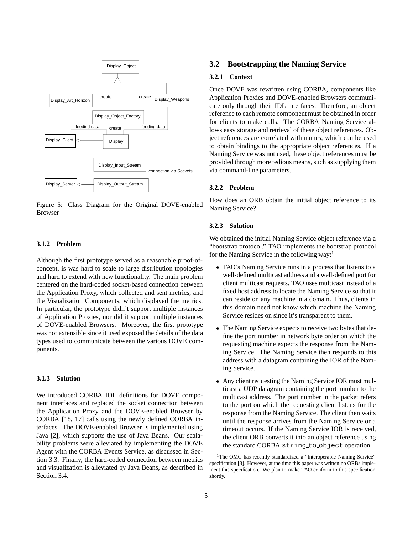

Figure 5: Class Diagram for the Original DOVE-enabled Browser

### **3.1.2 Problem**

Although the first prototype served as a reasonable proof-ofconcept, is was hard to scale to large distribution topologies and hard to extend with new functionality. The main problem centered on the hard-coded socket-based connection between the Application Proxy, which collected and sent metrics, and the Visualization Components, which displayed the metrics. In particular, the prototype didn't support multiple instances of Application Proxies, nor did it support multiple instances of DOVE-enabled Browsers. Moreover, the first prototype was not extensible since it used exposed the details of the data types used to communicate between the various DOVE components.

### **3.1.3 Solution**

We introduced CORBA IDL definitions for DOVE component interfaces and replaced the socket connection between the Application Proxy and the DOVE-enabled Browser by CORBA [18, 17] calls using the newly defined CORBA interfaces. The DOVE-enabled Browser is implemented using Java [2], which supports the use of Java Beans. Our scalability problems were alleviated by implementing the DOVE Agent with the CORBA Events Service, as discussed in Section 3.3. Finally, the hard-coded connection between metrics and visualization is alleviated by Java Beans, as described in Section 3.4.

## **3.2 Bootstrapping the Naming Service**

## **3.2.1 Context**

Once DOVE was rewritten using CORBA, components like Application Proxies and DOVE-enabled Browsers communicate only through their IDL interfaces. Therefore, an object reference to each remote component must be obtained in order for clients to make calls. The CORBA Naming Service allows easy storage and retrieval of these object references. Object references are correlated with names, which can be used to obtain bindings to the appropriate object references. If a Naming Service was not used, these object references must be provided through more tedious means, such as supplying them via command-line parameters.

## **3.2.2 Problem**

How does an ORB obtain the initial object reference to its Naming Service?

#### **3.2.3 Solution**

We obtained the initial Naming Service object reference via a "bootstrap protocol." TAO implements the bootstrap protocol for the Naming Service in the following way:<sup>1</sup>

- TAO's Naming Service runs in a process that listens to a well-defined multicast address and a well-defined port for client multicast requests. TAO uses multicast instead of a fixed host address to locate the Naming Service so that it can reside on any machine in a domain. Thus, clients in this domain need not know which machine the Naming Service resides on since it's transparent to them.
- The Naming Service expects to receive two bytes that define the port number in network byte order on which the requesting machine expects the response from the Naming Service. The Naming Service then responds to this address with a datagram containing the IOR of the Naming Service.
- Any client requesting the Naming Service IOR must multicast a UDP datagram containing the port number to the multicast address. The port number in the packet refers to the port on which the requesting client listens for the response from the Naming Service. The client then waits until the response arrives from the Naming Service or a timeout occurs. If the Naming Service IOR is received, the client ORB converts it into an object reference using the standard CORBA string to object operation.

<sup>&</sup>lt;sup>1</sup>The OMG has recently standardized a "Interoperable Naming Service" specification [3]. However, at the time this paper was written no ORBs implement this specification. We plan to make TAO conform to this specification shortly.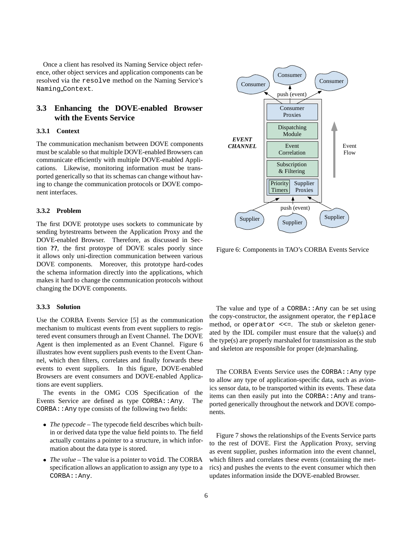Once a client has resolved its Naming Service object reference, other object services and application components can be resolved via the resolve method on the Naming Service's Naming Context.

## **3.3 Enhancing the DOVE-enabled Browser with the Events Service**

## **3.3.1 Context**

The communication mechanism between DOVE components must be scalable so that multiple DOVE-enabled Browsers can communicate efficiently with multiple DOVE-enabled Applications. Likewise, monitoring information must be transported generically so that its schemas can change without having to change the communication protocols or DOVE component interfaces.

## **3.3.2 Problem**

The first DOVE prototype uses sockets to communicate by sending bytestreams between the Application Proxy and the DOVE-enabled Browser. Therefore, as discussed in Section **??**, the first protoype of DOVE scales poorly since it allows only uni-direction communication between various DOVE components. Moreover, this prototype hard-codes the schema information directly into the applications, which makes it hard to change the communication protocols without changing the DOVE components.

#### **3.3.3 Solution**

Use the CORBA Events Service [5] as the communication mechanism to multicast events from event suppliers to registered event consumers through an Event Channel. The DOVE Agent is then implemented as an Event Channel. Figure 6 illustrates how event suppliers push events to the Event Channel, which then filters, correlates and finally forwards these events to event suppliers. In this figure, DOVE-enabled Browsers are event consumers and DOVE-enabled Applications are event suppliers.

The events in the OMG COS Specification of the Events Service are defined as type CORBA:: Any. The  $CORBA:$ : Any type consists of the following two fields:

- *The typecode* The typecode field describes which builtin or derived data type the value field points to. The field actually contains a pointer to a structure, in which information about the data type is stored.
- *The value* The value is a pointer to void. The CORBA specification allows an application to assign any type to a CORBA::Any.



Figure 6: Components in TAO's CORBA Events Service

The value and type of a CORBA: : Any can be set using the copy-constructor, the assignment operator, the replace method, or operator <<=. The stub or skeleton generated by the IDL compiler must ensure that the value(s) and the type(s) are properly marshaled for transmission as the stub and skeleton are responsible for proper (de)marshaling.

The CORBA Events Service uses the CORBA:: Any type to allow any type of application-specific data, such as avionics sensor data, to be transported within its events. These data items can then easily put into the CORBA: : Any and transported generically throughout the network and DOVE components.

Figure 7 shows the relationships of the Events Service parts to the rest of DOVE. First the Application Proxy, serving as event supplier, pushes information into the event channel, which filters and correlates these events (containing the metrics) and pushes the events to the event consumer which then updates information inside the DOVE-enabled Browser.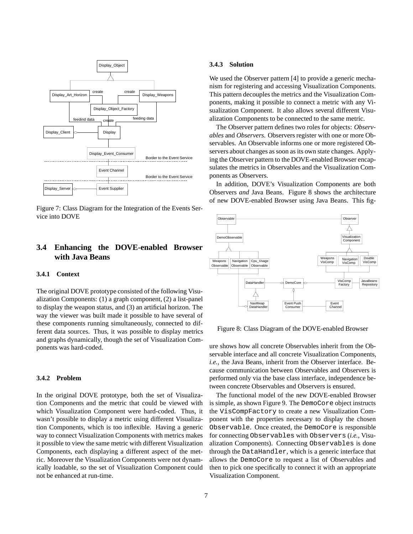

Figure 7: Class Diagram for the Integration of the Events Service into DOVE

## **3.4 Enhancing the DOVE-enabled Browser with Java Beans**

#### **3.4.1 Context**

The original DOVE prototype consisted of the following Visualization Components: (1) a graph component, (2) a list-panel to display the weapon status, and (3) an artificial horizon. The way the viewer was built made it possible to have several of these components running simultaneously, connected to different data sources. Thus, it was possible to display metrics and graphs dynamically, though the set of Visualization Components was hard-coded.

### **3.4.2 Problem**

In the original DOVE prototype, both the set of Visualization Components and the metric that could be viewed with which Visualization Component were hard-coded. Thus, it wasn't possible to display a metric using different Visualization Components, which is too inflexible. Having a generic way to connect Visualization Components with metrics makes it possible to view the same metric with different Visualization Components, each displaying a different aspect of the metric. Moreover the Visualization Components were not dynamically loadable, so the set of Visualization Component could not be enhanced at run-time.

#### **3.4.3 Solution**

We used the Observer pattern [4] to provide a generic mechanism for registering and accessing Visualization Components. This pattern decouples the metrics and the Visualization Components, making it possible to connect a metric with any Visualization Component. It also allows several different Visualization Components to be connected to the same metric.

The Observer pattern defines two roles for objects: *Observables* and *Observers*. Observers register with one or more Observables. An Observable informs one or more registered Observers about changes as soon as its own state changes. Applying the Observer pattern to the DOVE-enabled Browser encapsulates the metrics in Observables and the Visualization Components as Observers.

In addition, DOVE's Visualization Components are both Observers *and* Java Beans. Figure 8 shows the architecture of new DOVE-enabled Browser using Java Beans. This fig-



Figure 8: Class Diagram of the DOVE-enabled Browser

ure shows how all concrete Observables inherit from the Observable interface and all concrete Visualization Components, *i.e.*, the Java Beans, inherit from the Observer interface. Because communication between Observables and Observers is performed only via the base class interface, independence between concrete Observables and Observers is ensured.

The functional model of the new DOVE-enabled Browser is simple, as shown Figure 9. The DemoCore object instructs the VisCompFactory to create a new Visualization Component with the properties necessary to display the chosen Observable. Once created, the DemoCore is responsible for connecting Observables with Observers (*i.e.*, Visualization Components). Connecting Observables is done through the DataHandler, which is a generic interface that allows the DemoCore to request a list of Observables and then to pick one specifically to connect it with an appropriate Visualization Component.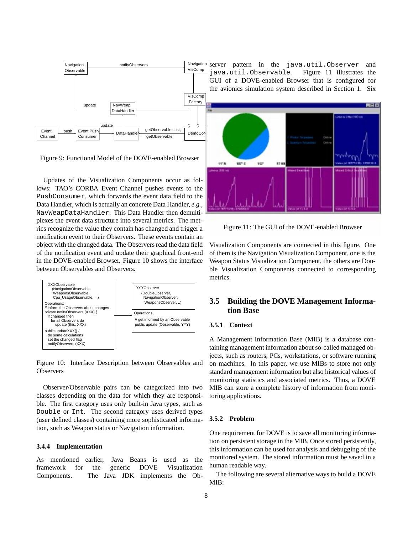

Updates of the Visualization Components occur as follows: TAO's CORBA Event Channel pushes events to the PushConsumer, which forwards the event data field to the Data Handler, which is actually an concrete Data Handler, *e.g.*, NavWeapDataHandler. This Data Handler then demultiplexes the event data structure into several metrics. The metrics recognize the value they contain has changed and trigger a notification event to their Observers. These events contain an object with the changed data. The Observers read the data field of the notification event and update their graphical front-end in the DOVE-enabled Browser. Figure 10 shows the interface between Observables and Observers.



Figure 10: Interface Description between Observables and **Observers** 

Observer/Observable pairs can be categorized into two classes depending on the data for which they are responsible. The first category uses only built-in Java types, such as Double or Int. The second category uses derived types (user defined classes) containing more sophisticated information, such as Weapon status or Navigation information.

### **3.4.4 Implementation**

As mentioned earlier, Java Beans is used as the framework for the generic DOVE Visualization Components. The Java JDK implements the Ob-



Figure 11: The GUI of the DOVE-enabled Browser

Visualization Components are connected in this figure. One of them is the Navigation Visualization Component, one is the Weapon Status Visualization Component, the others are Double Visualization Components connected to corresponding metrics.

## **3.5 Building the DOVE Management Information Base**

### **3.5.1 Context**

A Management Information Base (MIB) is a database containing management information about so-called managed objects, such as routers, PCs, workstations, or software running on machines. In this paper, we use MIBs to store not only standard management information but also historical values of monitoring statistics and associated metrics. Thus, a DOVE MIB can store a complete history of information from monitoring applications.

## **3.5.2 Problem**

One requirement for DOVE is to save all monitoring information on persistent storage in the MIB. Once stored persistently, this information can be used for analysis and debugging of the monitored system. The stored information must be saved in a human readable way.

The following are several alternative ways to build a DOVE MIB: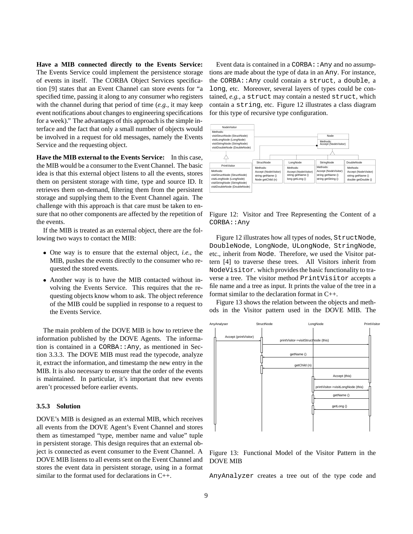**Have a MIB connected directly to the Events Service:** The Events Service could implement the persistence storage of events in itself. The CORBA Object Services specification [9] states that an Event Channel can store events for "a specified time, passing it along to any consumer who registers with the channel during that period of time (*e.g.*, it may keep event notifications about changes to engineering specifications for a week)." The advantages of this approach is the simple interface and the fact that only a small number of objects would be involved in a request for old messages, namely the Events Service and the requesting object.

**Have the MIB external to the Events Service:** In this case, the MIB would be a consumer to the Event Channel. The basic idea is that this external object listens to all the events, stores them on persistent storage with time, type and source ID. It retrieves them on-demand, filtering them from the persistent storage and supplying them to the Event Channel again. The challenge with this approach is that care must be taken to ensure that no other components are affected by the repetition of the events.

If the MIB is treated as an external object, there are the following two ways to contact the MIB:

- One way is to ensure that the external object, *i.e.*, the MIB, pushes the events directly to the consumer who requested the stored events.
- Another way is to have the MIB contacted without involving the Events Service. This requires that the requesting objects know whom to ask. The object reference of the MIB could be supplied in response to a request to the Events Service.

The main problem of the DOVE MIB is how to retrieve the information published by the DOVE Agents. The information is contained in a  $CORBA: : Any$ , as mentioned in Section 3.3.3. The DOVE MIB must read the typecode, analyze it, extract the information, and timestamp the new entry in the MIB. It is also necessary to ensure that the order of the events is maintained. In particular, it's important that new events aren't processed before earlier events.

#### **3.5.3 Solution**

DOVE's MIB is designed as an external MIB, which receives all events from the DOVE Agent's Event Channel and stores them as timestamped "type, member name and value" tuple in persistent storage. This design requires that an external object is connected as event consumer to the Event Channel. A DOVE MIB listens to all events sent on the Event Channel and stores the event data in persistent storage, using in a format similar to the format used for declarations in C++.

Event data is contained in a CORBA: : Any and no assumptions are made about the type of data in an Any. For instance, the CORBA::Any could contain a struct, a double, a long, etc. Moreover, several layers of types could be contained, *e.g.*, a struct may contain a nested struct, which contain a string, etc. Figure 12 illustrates a class diagram for this type of recursive type configuration.



Figure 12: Visitor and Tree Representing the Content of a CORBA::Any

Figure 12 illustrates how all types of nodes, StructNode, DoubleNode, LongNode, ULongNode, StringNode, etc., inherit from Node. Therefore, we used the Visitor pattern [4] to traverse these trees. All Visitors inherit from NodeVisitor. which provides the basic functionality to traverse a tree. The visitor method PrintVisitor accepts a file name and a tree as input. It prints the value of the tree in a format similar to the declaration format in C++.

Figure 13 shows the relation between the objects and methods in the Visitor pattern used in the DOVE MIB. The



Figure 13: Functional Model of the Visitor Pattern in the DOVE MIB

AnyAnalyzer creates a tree out of the type code and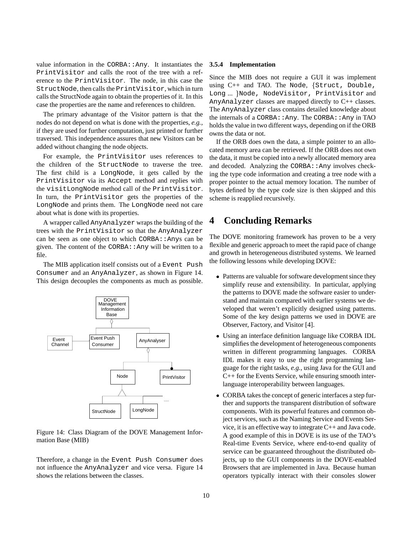value information in the  $CORBA: : Any.$  It instantiates the PrintVisitor and calls the root of the tree with a reference to the PrintVisitor. The node, in this case the StructNode, then calls the PrintVisitor, which in turn calls the StructNode again to obtain the properties of it. In this case the properties are the name and references to children.

The primary advantage of the Visitor pattern is that the nodes do not depend on what is done with the properties, *e.g.*, if they are used for further computation, just printed or further traversed. This independence assures that new Visitors can be added without changing the node objects.

For example, the PrintVisitor uses references to the children of the StructNode to traverse the tree. The first child is a LongNode, it gets called by the PrintVisitor via its Accept method and replies with the visitLongNode method call of the PrintVisitor. In turn, the PrintVisitor gets the properties of the LongNode and prints them. The LongNode need not care about what is done with its properties.

A wrapper called AnyAnalyzer wraps the building of the trees with the PrintVisitor so that the AnyAnalyzer can be seen as one object to which  $CORBA:$ : Anys can be given. The content of the CORBA: : Any will be written to a file.

The MIB application itself consists out of a Event Push Consumer and an AnyAnalyzer, as shown in Figure 14. This design decouples the components as much as possible.



Figure 14: Class Diagram of the DOVE Management Information Base (MIB)

Therefore, a change in the Event Push Consumer does not influence the AnyAnalyzer and vice versa. Figure 14 shows the relations between the classes.

### **3.5.4 Implementation**

Since the MIB does not require a GUI it was implement using C++ and TAO. The Node, {Struct, Double, Long ... }Node, NodeVisitor, PrintVisitor and AnyAnalyzer classes are mapped directly to C++ classes. The AnyAnalyzer class contains detailed knowledge about the internals of a CORBA:: $Any$ . The CORBA:: $Any$  in TAO holds the value in two different ways, depending on if the ORB owns the data or not.

If the ORB does own the data, a simple pointer to an allocated memory area can be retrieved. If the ORB does not own the data, it must be copied into a newly allocated memory area and decoded. Analyzing the CORBA: : Any involves checking the type code information and creating a tree node with a proper pointer to the actual memory location. The number of bytes defined by the type code size is then skipped and this scheme is reapplied recursively.

# **4 Concluding Remarks**

The DOVE monitoring framework has proven to be a very flexible and generic approach to meet the rapid pace of change and growth in heterogeneous distributed systems. We learned the following lessons while developing DOVE:

- Patterns are valuable for software development since they simplify reuse and extensibility. In particular, applying the patterns to DOVE made the software easier to understand and maintain compared with earlier systems we developed that weren't explicitly designed using patterns. Some of the key design patterns we used in DOVE are Observer, Factory, and Visitor [4].
- Using an interface definition language like CORBA IDL simplifies the development of heterogeneous components written in different programming languages. CORBA IDL makes it easy to use the right programming language for the right tasks, *e.g.*, using Java for the GUI and C++ for the Events Service, while ensuring smooth interlanguage interoperability between languages.
- CORBA takes the concept of generic interfaces a step further and supports the transparent distribution of software components. With its powerful features and common object services, such as the Naming Service and Events Service, it is an effective way to integrate C++ and Java code. A good example of this in DOVE is its use of the TAO's Real-time Events Service, where end-to-end quality of service can be guaranteed throughout the distributed objects, up to the GUI components in the DOVE-enabled Browsers that are implemented in Java. Because human operators typically interact with their consoles slower